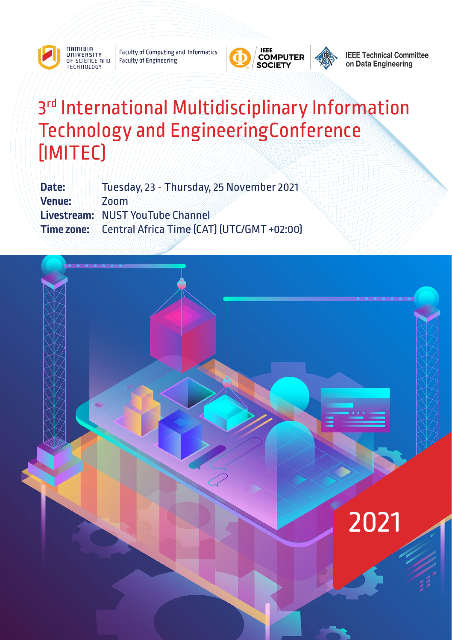

**DAMIRIA** 

**Faculty of Computing and Informatics** OF SCIENCE AND **Faculty of Engineering** 



**IEEE Technical Committee** on Data Engineering

# 3rd International Multidisciplinary Information Technology and EngineeringConference [IMITEC)

**Date:** Tuesday, 23 - Thursday, 25 November 2021 **Venue: \\\\\\ [Zoom](https://us02web.zoom.us/j/83763141278?pwd=Ynh4Y3MyR01tZW1rYTBaNlhpeml5UT09) Livestream:** [NUST YouTube Channel](https://www.youtube.com/channel/UCw8L0Axttdo8AhezcONlRfw) **Time zone:** Central Africa Time (CAT) (UTC/GMT +02:00)

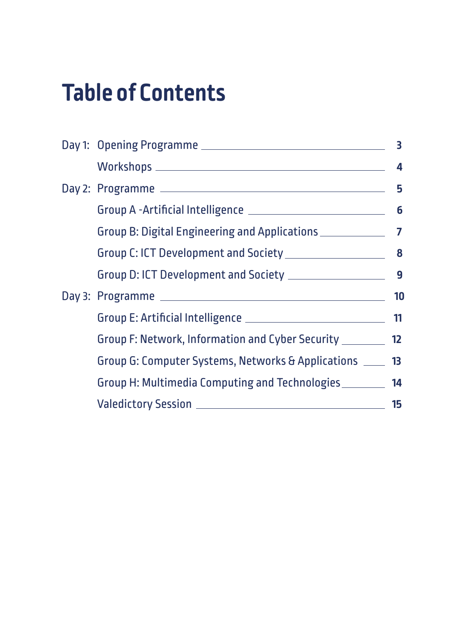# **Table of Contents**

|  | $\textit{Workshops}\_\_\_\_\_\_\_\_ \$                                            | $\boldsymbol{4}$ |  |
|--|-----------------------------------------------------------------------------------|------------------|--|
|  |                                                                                   |                  |  |
|  |                                                                                   |                  |  |
|  | Group B: Digital Engineering and Applications ___________________________________ |                  |  |
|  |                                                                                   |                  |  |
|  |                                                                                   |                  |  |
|  |                                                                                   |                  |  |
|  |                                                                                   |                  |  |
|  | Group F: Network, Information and Cyber Security ________ 12                      |                  |  |
|  | Group G: Computer Systems, Networks & Applications ____ 13                        |                  |  |
|  | Group H: Multimedia Computing and Technologies ________ 14                        |                  |  |
|  |                                                                                   |                  |  |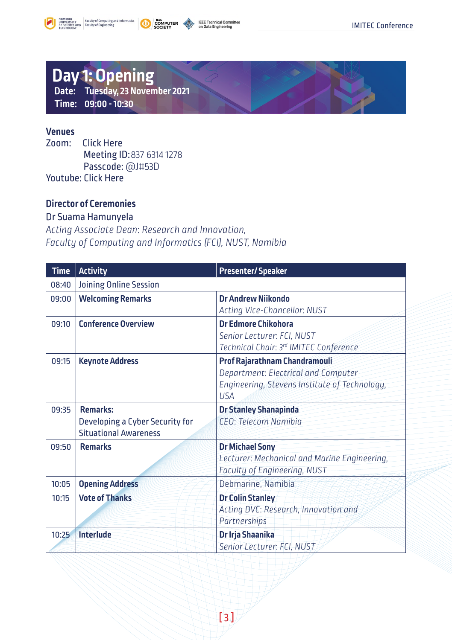<span id="page-2-0"></span>

**COMPUTER** 



### **Day 1: Opening Date: Tuesday, 23 November 2021 Time: 09:00 - 10:30**

#### **Venues**

Zoom: [Click Here](https://us02web.zoom.us/j/83763141278?pwd=Ynh4Y3MyR01tZW1rYTBaNlhpeml5UT09) Meeting ID:837 6314 1278 Passcode: @J#53D Youtube: [Click Here](https://www.youtube.com/channel/UCw8L0Axttdo8AhezcONlRfw)

#### **Director of Ceremonies**

#### Dr Suama Hamunyela

*Acting Associate Dean*: *Research and Innovation, Faculty of Computing and Informatics (FCI), NUST, Namibia* 

| <b>Time</b> | <b>Activity</b>                                                                    | <b>Presenter/Speaker</b>                                                                                                            |
|-------------|------------------------------------------------------------------------------------|-------------------------------------------------------------------------------------------------------------------------------------|
| 08:40       | Joining Online Session                                                             |                                                                                                                                     |
| 09:00       | <b>Welcoming Remarks</b>                                                           | <b>Dr Andrew Niikondo</b><br>Acting Vice-Chancellor: NUST                                                                           |
| 09:10       | <b>Conference Overview</b>                                                         | <b>Dr Edmore Chikohora</b><br>Senior Lecturer: FCI, NUST<br>Technical Chair: 3rd IMITEC Conference                                  |
| 09:15       | <b>Keynote Address</b>                                                             | Prof Rajarathnam Chandramouli<br>Department: Electrical and Computer<br>Engineering, Stevens Institute of Technology,<br><b>USA</b> |
| 09:35       | <b>Remarks:</b><br>Developing a Cyber Security for<br><b>Situational Awareness</b> | <b>Dr Stanley Shanapinda</b><br>CEO: Telecom Namibia                                                                                |
| 09:50       | <b>Remarks</b>                                                                     | <b>Dr Michael Sony</b><br>Lecturer: Mechanical and Marine Engineering,<br>Faculty of Engineering, NUST                              |
| 10:05       | <b>Opening Address</b>                                                             | Debmarine, Namibia                                                                                                                  |
| 10:15       | <b>Vote of Thanks</b>                                                              | <b>Dr Colin Stanley</b><br>Acting DVC: Research, Innovation and<br>Partnerships                                                     |
| 10:25       | Interlude                                                                          | Dr Irja Shaanika<br>Senior Lecturer: FCI, NUST                                                                                      |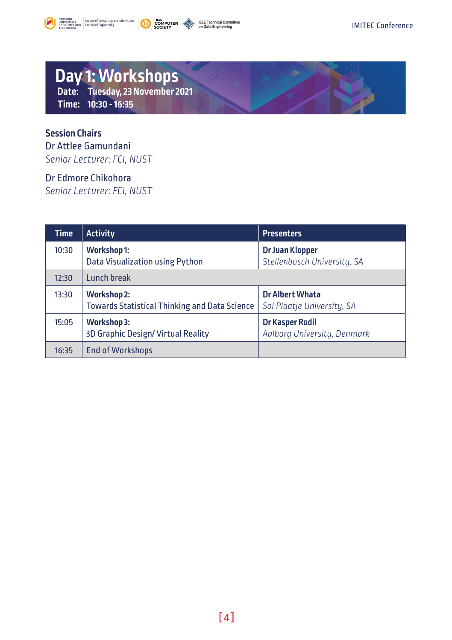<span id="page-3-0"></span>





### **Day 1: Workshops Date: Tuesday, 23 November 2021**

**Time: 10:30 - 16:35**

### **Session Chairs**

Dr Attlee Gamundani *Senior Lecturer*: *FCI, NUST*

#### Dr Edmore Chikohora

*Senior Lecturer*: *FCI, NUST*

| <b>Time</b> | <b>Activity</b>                                                            | <b>Presenters</b>                                    |
|-------------|----------------------------------------------------------------------------|------------------------------------------------------|
| 10:30       | <b>Workshop 1:</b><br>Data Visualization using Python                      | Dr Juan Klopper<br>Stellenbosch University, SA       |
| 12:30       | Lunch break                                                                |                                                      |
| 13:30       | <b>Workshop 2:</b><br><b>Towards Statistical Thinking and Data Science</b> | <b>Dr Albert Whata</b><br>Sol Plaatje University, SA |
| 15:05       | <b>Workshop 3:</b><br>3D Graphic Design/Virtual Reality                    | Dr Kasper Rodil<br>Aalborg University, Denmark       |
| 16:35       | <b>End of Workshops</b>                                                    |                                                      |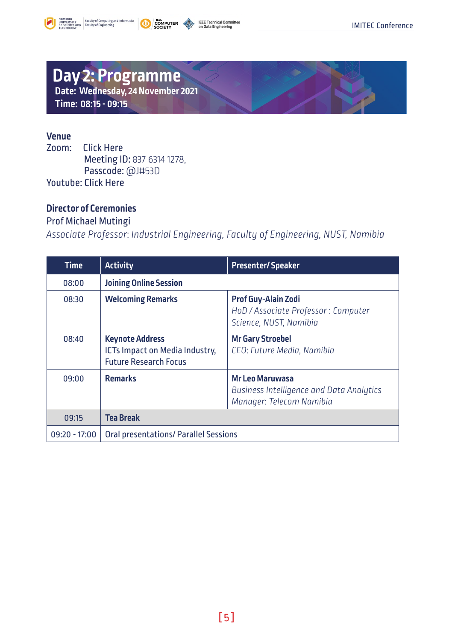<span id="page-4-0"></span>





### **Day 2: Programme Date: Wednesday, 24 November 2021 Time: 08:15 - 09:15**

# **Venue**

**[Click Here](https://us02web.zoom.us/j/83763141278?pwd=Ynh4Y3MyR01tZW1rYTBaNlhpeml5UT09)** Meeting ID: 837 6314 1278, Passcode: @J#53D Youtube: [Click Here](https://www.youtube.com/channel/UCw8L0Axttdo8AhezcONlRfw)

#### **Director of Ceremonies**

### Prof Michael Mutingi

*Associate Professor*: *Industrial Engineering, Faculty of Engineering, NUST, Namibia*

| <b>Time</b>     | <b>Activity</b>                                                                          | <b>Presenter/Speaker</b>                                                                              |
|-----------------|------------------------------------------------------------------------------------------|-------------------------------------------------------------------------------------------------------|
| 08:00           | <b>Joining Online Session</b>                                                            |                                                                                                       |
| 08:30           | <b>Welcoming Remarks</b>                                                                 | <b>Prof Guy-Alain Zodi</b><br>HoD / Associate Professor : Computer<br>Science, NUST, Namibia          |
| 08:40           | <b>Keynote Address</b><br>ICTs Impact on Media Industry,<br><b>Future Research Focus</b> | <b>Mr Gary Stroebel</b><br>CEO: Future Media, Namibia                                                 |
| 09:00           | <b>Remarks</b>                                                                           | <b>Mr Leo Maruwasa</b><br><b>Business Intelligence and Data Analytics</b><br>Manager: Telecom Namibia |
| 09:15           | <b>Tea Break</b>                                                                         |                                                                                                       |
| $09:20 - 17:00$ | <b>Oral presentations/ Parallel Sessions</b>                                             |                                                                                                       |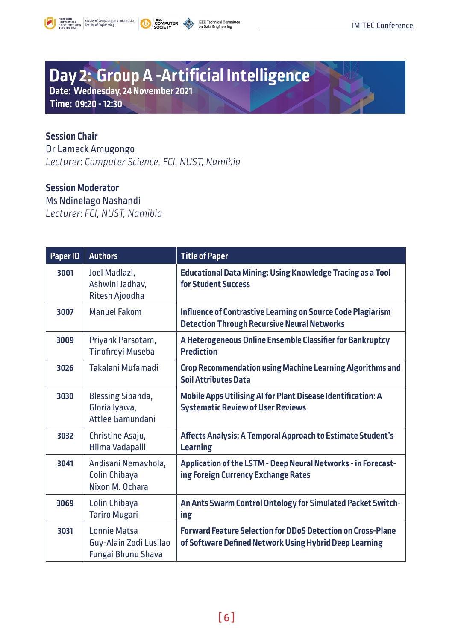<span id="page-5-0"></span>





### **Day 2: Group A -Artificial Intelligence**

**Date: Wednesday, 24 November 2021 Time: 09:20 - 12:30**

### **Session Chair**

Dr Lameck Amugongo *Lecturer*: *Computer Science, FCI, NUST, Namibia*

#### **Session Moderator**

Ms Ndinelago Nashandi *Lecturer*: *FCI, NUST, Namibia* 

| Paper ID | <b>Authors</b>                                                      | <b>Title of Paper</b>                                                                                                        |
|----------|---------------------------------------------------------------------|------------------------------------------------------------------------------------------------------------------------------|
| 3001     | Joel Madlazi,<br>Ashwini Jadhav,<br>Ritesh Ajoodha                  | <b>Educational Data Mining: Using Knowledge Tracing as a Tool</b><br>for Student Success                                     |
| 3007     | <b>Manuel Fakom</b>                                                 | Influence of Contrastive Learning on Source Code Plagiarism<br><b>Detection Through Recursive Neural Networks</b>            |
| 3009     | Priyank Parsotam,<br><b>Tinofireyi Museba</b>                       | A Heterogeneous Online Ensemble Classifier for Bankruptcy<br><b>Prediction</b>                                               |
| 3026     | Takalani Mufamadi                                                   | <b>Crop Recommendation using Machine Learning Algorithms and</b><br><b>Soil Attributes Data</b>                              |
| 3030     | <b>Blessing Sibanda,</b><br>Gloria Iyawa,<br>Attlee Gamundani       | Mobile Apps Utilising AI for Plant Disease Identification: A<br><b>Systematic Review of User Reviews</b>                     |
| 3032     | Christine Asaju,<br>Hilma Vadapalli                                 | Affects Analysis: A Temporal Approach to Estimate Student's<br><b>Learning</b>                                               |
| 3041     | Andisani Nemavhola,<br>Colin Chibaya<br>Nixon M. Ochara             | Application of the LSTM - Deep Neural Networks - in Forecast-<br>ing Foreign Currency Exchange Rates                         |
| 3069     | Colin Chibaya<br><b>Tariro Mugari</b>                               | An Ants Swarm Control Ontology for Simulated Packet Switch-<br>ing                                                           |
| 3031     | <b>Lonnie Matsa</b><br>Guy-Alain Zodi Lusilao<br>Fungai Bhunu Shava | <b>Forward Feature Selection for DDoS Detection on Cross-Plane</b><br>of Software Defined Network Using Hybrid Deep Learning |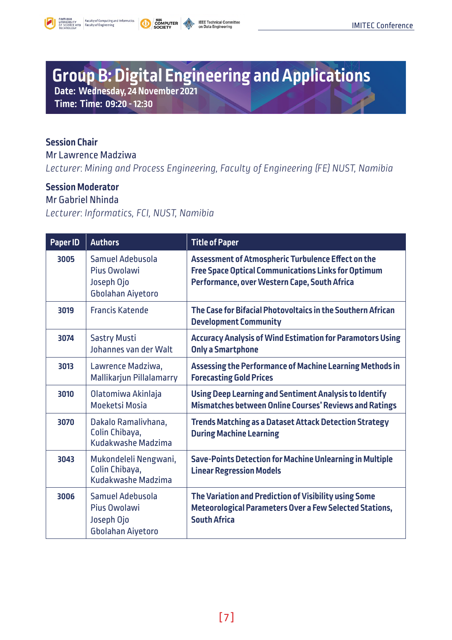<span id="page-6-0"></span>





# **Group B: Digital Engineering and Applications**

**Date: Wednesday, 24 November 2021** 

**Time: Time: 09:20 - 12:30**

#### **Session Chair**

Mr Lawrence Madziwa *Lecturer*: *Mining and Process Engineering, Faculty of Engineering (FE) NUST, Namibia*

#### **Session Moderator**

Mr Gabriel Nhinda *Lecturer*: *Informatics, FCI, NUST, Namibia*

| Paper ID | <b>Authors</b>                                                      | <b>Title of Paper</b>                                                                                                                                            |
|----------|---------------------------------------------------------------------|------------------------------------------------------------------------------------------------------------------------------------------------------------------|
| 3005     | Samuel Adebusola<br>Pius Owolawi<br>Joseph Ojo<br>Gbolahan Aiyetoro | Assessment of Atmospheric Turbulence Effect on the<br><b>Free Space Optical Communications Links for Optimum</b><br>Performance, over Western Cape, South Africa |
| 3019     | <b>Francis Katende</b>                                              | The Case for Bifacial Photovoltaics in the Southern African<br><b>Development Community</b>                                                                      |
| 3074     | <b>Sastry Musti</b><br>Johannes van der Walt                        | <b>Accuracy Analysis of Wind Estimation for Paramotors Using</b><br><b>Only a Smartphone</b>                                                                     |
| 3013     | Lawrence Madziwa,<br>Mallikarjun Pillalamarry                       | Assessing the Performance of Machine Learning Methods in<br><b>Forecasting Gold Prices</b>                                                                       |
| 3010     | Olatomiwa Akinlaja<br>Moeketsi Mosia                                | Using Deep Learning and Sentiment Analysis to Identify<br><b>Mismatches between Online Courses' Reviews and Ratings</b>                                          |
| 3070     | Dakalo Ramalivhana,<br>Colin Chibaya,<br>Kudakwashe Madzima         | <b>Trends Matching as a Dataset Attack Detection Strategy</b><br><b>During Machine Learning</b>                                                                  |
| 3043     | Mukondeleli Nengwani,<br>Colin Chibaya,<br>Kudakwashe Madzima       | Save-Points Detection for Machine Unlearning in Multiple<br><b>Linear Regression Models</b>                                                                      |
| 3006     | Samuel Adebusola<br>Pius Owolawi<br>Joseph Ojo<br>Gbolahan Aiyetoro | The Variation and Prediction of Visibility using Some<br><b>Meteorological Parameters Over a Few Selected Stations,</b><br><b>South Africa</b>                   |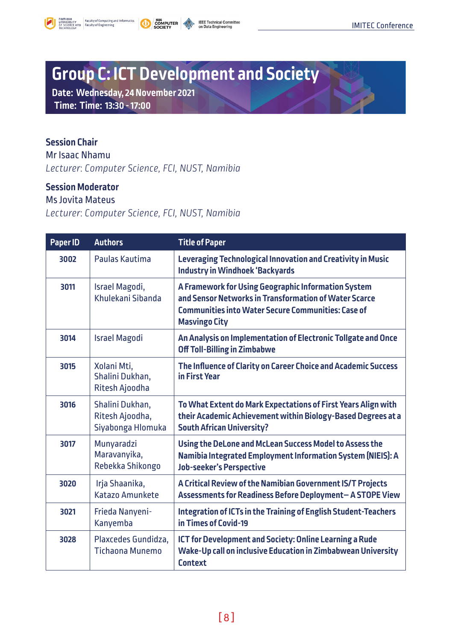<span id="page-7-0"></span>



# **Group C: ICT Development and Society**

**Date: Wednesday, 24 November 2021 Time: Time: 13:30 - 17:00**

#### **Session Chair**

Mr Isaac Nhamu *Lecturer*: *Computer Science, FCI, NUST, Namibia* 

#### **Session Moderator**

#### Ms Jovita Mateus

*Lecturer*: *Computer Science, FCI, NUST, Namibia*

| Paper ID | <b>Authors</b>                                          | <b>Title of Paper</b>                                                                                                                                                                             |
|----------|---------------------------------------------------------|---------------------------------------------------------------------------------------------------------------------------------------------------------------------------------------------------|
| 3002     | Paulas Kautima                                          | Leveraging Technological Innovation and Creativity in Music<br><b>Industry in Windhoek 'Backyards</b>                                                                                             |
| 3011     | Israel Magodi,<br>Khulekani Sihanda                     | A Framework for Using Geographic Information System<br>and Sensor Networks in Transformation of Water Scarce<br><b>Communities into Water Secure Communities: Case of</b><br><b>Masvingo City</b> |
| 3014     | <b>Israel Magodi</b>                                    | An Analysis on Implementation of Electronic Tollgate and Once<br><b>Off Toll-Billing in Zimbabwe</b>                                                                                              |
| 3015     | Xolani Mti,<br>Shalini Dukhan,<br>Ritesh Ajoodha        | The Influence of Clarity on Career Choice and Academic Success<br>in First Year                                                                                                                   |
| 3016     | Shalini Dukhan,<br>Ritesh Ajoodha,<br>Siyabonga Hlomuka | To What Extent do Mark Expectations of First Years Align with<br>their Academic Achievement within Biology-Based Degrees at a<br><b>South African University?</b>                                 |
| 3017     | Munyaradzi<br>Maravanyika,<br>Rebekka Shikongo          | Using the DeLone and McLean Success Model to Assess the<br>Namibia Integrated Employment Information System (NIEIS): A<br>Job-seeker's Perspective                                                |
| 3020     | Irja Shaanika,<br>Katazo Amunkete                       | A Critical Review of the Namibian Government IS/T Projects<br>Assessments for Readiness Before Deployment- A STOPE View                                                                           |
| 3021     | Frieda Nanyeni-<br>Kanyemba                             | Integration of ICTs in the Training of English Student-Teachers<br>in Times of Covid-19                                                                                                           |
| 3028     | Plaxcedes Gundidza,<br><b>Tichaona Munemo</b>           | ICT for Development and Society: Online Learning a Rude<br>Wake-Up call on inclusive Education in Zimbabwean University<br><b>Context</b>                                                         |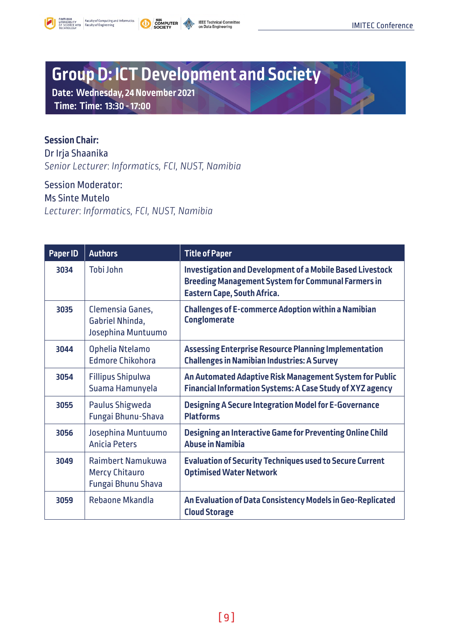<span id="page-8-0"></span>



# **Group D: ICT Development and Society**

**Date: Wednesday, 24 November 2021 Time: Time: 13:30 - 17:00**

### **Session Chair:**

Dr Irja Shaanika *Senior Lecturer*: *Informatics, FCI, NUST, Namibia* 

Session Moderator: Ms Sinte Mutelo *Lecturer*: *Informatics, FCI, NUST, Namibia* 

| Paper ID | <b>Authors</b>                                                   | <b>Title of Paper</b>                                                                                                                                        |
|----------|------------------------------------------------------------------|--------------------------------------------------------------------------------------------------------------------------------------------------------------|
| 3034     | Tobi John                                                        | Investigation and Development of a Mobile Based Livestock<br><b>Breeding Management System for Communal Farmers in</b><br><b>Eastern Cape, South Africa.</b> |
| 3035     | Clemensia Ganes,<br>Gabriel Nhinda,<br>Josephina Muntuumo        | <b>Challenges of E-commerce Adoption within a Namibian</b><br><b>Conglomerate</b>                                                                            |
| 3044     | Ophelia Ntelamo<br><b>Edmore Chikohora</b>                       | <b>Assessing Enterprise Resource Planning Implementation</b><br><b>Challenges in Namibian Industries: A Survey</b>                                           |
| 3054     | <b>Fillipus Shipulwa</b><br>Suama Hamunyela                      | An Automated Adaptive Risk Management System for Public<br><b>Financial Information Systems: A Case Study of XYZ agency</b>                                  |
| 3055     | Paulus Shigweda<br>Fungai Bhunu-Shava                            | <b>Designing A Secure Integration Model for E-Governance</b><br><b>Platforms</b>                                                                             |
| 3056     | Josephina Muntuumo<br><b>Anicia Peters</b>                       | Designing an Interactive Game for Preventing Online Child<br><b>Abuse in Namibia</b>                                                                         |
| 3049     | Raimbert Namukuwa<br><b>Mercy Chitauro</b><br>Fungai Bhunu Shava | <b>Evaluation of Security Techniques used to Secure Current</b><br><b>Optimised Water Network</b>                                                            |
| 3059     | <b>Rebaone Mkandla</b>                                           | An Evaluation of Data Consistency Models in Geo-Replicated<br><b>Cloud Storage</b>                                                                           |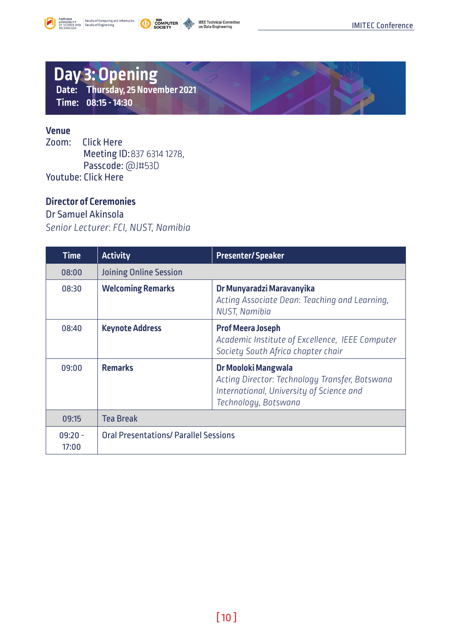<span id="page-9-0"></span>



### **Day 3: Opening Date: Thursday, 25 November 2021 Time: 08:15 - 14:30**

#### **Venue**

Zoom: [Click Here](https://us02web.zoom.us/j/83763141278?pwd=Ynh4Y3MyR01tZW1rYTBaNlhpeml5UT09) Meeting ID:837 6314 1278, Passcode: @J#53D Youtube: [Click Here](https://www.youtube.com/channel/UCw8L0Axttdo8AhezcONlRfw)

#### **Director of Ceremonies**

#### Dr Samuel Akinsola

*Senior Lecturer*: *FCI, NUST, Namibia*

| Time               | <b>Activity</b>                              | <b>Presenter/Speaker</b>                                                                                                                  |
|--------------------|----------------------------------------------|-------------------------------------------------------------------------------------------------------------------------------------------|
| 08:00              | <b>Joining Online Session</b>                |                                                                                                                                           |
| 08:30              | <b>Welcoming Remarks</b>                     | Dr Munyaradzi Maravanyika<br>Acting Associate Dean: Teaching and Learning.<br><b>NUST, Namibia</b>                                        |
| 08:40              | <b>Keynote Address</b>                       | <b>Prof Meera Joseph</b><br>Academic Institute of Excellence, IEEE Computer<br>Society South Africa chapter chair                         |
| 09:00              | <b>Remarks</b>                               | Dr Mooloki Mangwala<br>Acting Director: Technology Transfer, Botswana<br>International, University of Science and<br>Technology, Botswana |
| 09:15              | <b>Tea Break</b>                             |                                                                                                                                           |
| $09:20 -$<br>17:00 | <b>Oral Presentations/ Parallel Sessions</b> |                                                                                                                                           |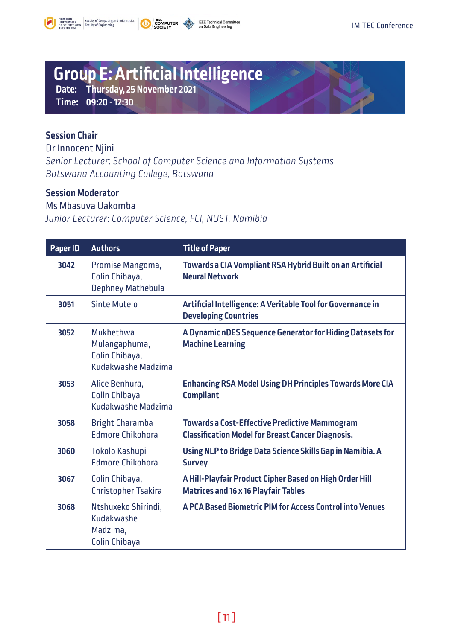<span id="page-10-0"></span>



### **Group E: Artificial Intelligence**

**Date: Thursday, 25 November 2021** 

**Time: 09:20 - 12:30**

#### **Session Chair**

Dr Innocent Njini

*Senior Lecturer*: *School of Computer Science and Information Systems Botswana Accounting College, Botswana* 

#### **Session Moderator**

#### Ms Mbasuva Uakomba

*Junior Lecturer*: *Computer Science, FCI, NUST, Namibia*

| Paper ID | <b>Authors</b>                                                     | <b>Title of Paper</b>                                                                                            |
|----------|--------------------------------------------------------------------|------------------------------------------------------------------------------------------------------------------|
| 3042     | Promise Mangoma,<br>Colin Chibaya,<br>Dephney Mathebula            | Towards a CIA Vompliant RSA Hybrid Built on an Artificial<br><b>Neural Network</b>                               |
| 3051     | Sinte Mutelo                                                       | Artificial Intelligence: A Veritable Tool for Governance in<br><b>Developing Countries</b>                       |
| 3052     | Mukhethwa<br>Mulangaphuma,<br>Colin Chibaya,<br>Kudakwashe Madzima | A Dynamic nDES Sequence Generator for Hiding Datasets for<br><b>Machine Learning</b>                             |
| 3053     | Alice Benhura,<br>Colin Chibaya<br>Kudakwashe Madzima              | <b>Enhancing RSA Model Using DH Principles Towards More CIA</b><br><b>Compliant</b>                              |
| 3058     | <b>Bright Charamba</b><br><b>Edmore Chikohora</b>                  | <b>Towards a Cost-Effective Predictive Mammogram</b><br><b>Classification Model for Breast Cancer Diagnosis.</b> |
| 3060     | Tokolo Kashupi<br><b>Edmore Chikohora</b>                          | Using NLP to Bridge Data Science Skills Gap in Namibia. A<br><b>Survey</b>                                       |
| 3067     | Colin Chibaya,<br><b>Christopher Tsakira</b>                       | A Hill-Playfair Product Cipher Based on High Order Hill<br><b>Matrices and 16 x 16 Playfair Tables</b>           |
| 3068     | Ntshuxeko Shirindi,<br>Kudakwashe<br>Madzima,<br>Colin Chibaya     | A PCA Based Biometric PIM for Access Control into Venues                                                         |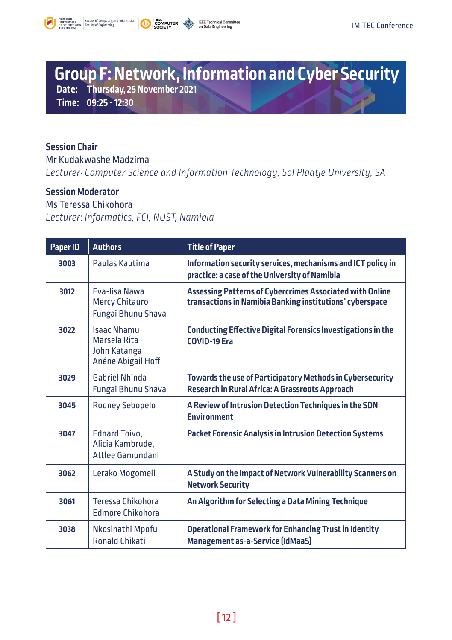<span id="page-11-0"></span>



### **Group F: Network, Information and Cyber Security Date: Thursday, 25 November 2021**

**Time: 09:25 - 12:30**

#### **Session Chair**

Mr Kudakwashe Madzima

*Lecturer: Computer Science and Information Technology, Sol Plaatje University, SA* 

#### **Session Moderator**

#### Ms Teressa Chikohora

*Lecturer*: *Informatics, FCI, NUST, Namibia* 

| Paper ID | <b>Authors</b>                                                           | <b>Title of Paper</b>                                                                                                |
|----------|--------------------------------------------------------------------------|----------------------------------------------------------------------------------------------------------------------|
| 3003     | Paulas Kautima                                                           | Information security services, mechanisms and ICT policy in<br>practice: a case of the University of Namibia         |
| 3012     | <b>Eva-lisa Nawa</b><br><b>Mercy Chitauro</b><br>Fungai Bhunu Shava      | Assessing Patterns of Cybercrimes Associated with Online<br>transactions in Namibia Banking institutions' cyberspace |
| 3022     | <b>Isaac Nhamu</b><br>Marsela Rita<br>John Katanga<br>Anéne Abigail Hoff | <b>Conducting Effective Digital Forensics Investigations in the</b><br><b>COVID-19 Era</b>                           |
| 3029     | <b>Gabriel Nhinda</b><br>Fungai Bhunu Shava                              | Towards the use of Participatory Methods in Cybersecurity<br>Research in Rural Africa: A Grassroots Approach         |
| 3045     | <b>Rodney Sebopelo</b>                                                   | A Review of Intrusion Detection Techniques in the SDN<br><b>Environment</b>                                          |
| 3047     | <b>Ednard Toivo,</b><br>Alicia Kambrude,<br>Attlee Gamundani             | <b>Packet Forensic Analysis in Intrusion Detection Systems</b>                                                       |
| 3062     | Lerako Mogomeli                                                          | A Study on the Impact of Network Vulnerability Scanners on<br><b>Network Security</b>                                |
| 3061     | Teressa Chikohora<br><b>Edmore Chikohora</b>                             | An Algorithm for Selecting a Data Mining Technique                                                                   |
| 3038     | Nkosinathi Mpofu<br><b>Ronald Chikati</b>                                | <b>Operational Framework for Enhancing Trust in Identity</b><br>Management as-a-Service (IdMaaS)                     |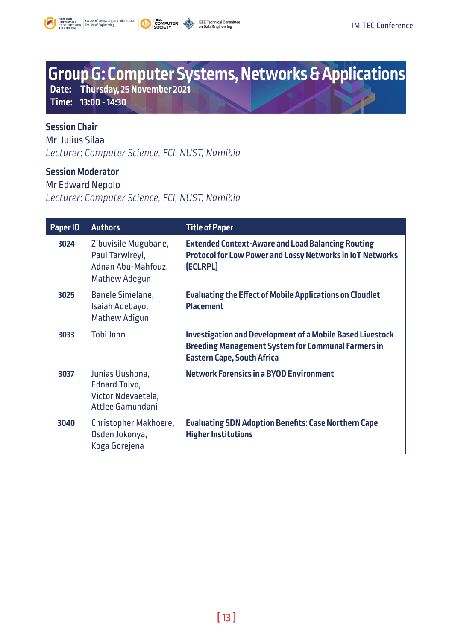<span id="page-12-0"></span>



# **Group G: Computer Systems, Networks & Applications**

**Date: Thursday, 25 November 2021** 

**Time: 13:00 - 14:30**

### **Session Chair**

Mr Julius Silaa *Lecturer*: *Computer Science, FCI, NUST, Namibia* 

#### **Session Moderator**

#### Mr Edward Nepolo

*Lecturer*: *Computer Science, FCI, NUST, Namibia*

| Paper ID | <b>Authors</b>                                                                        | <b>Title of Paper</b>                                                                                                                                              |
|----------|---------------------------------------------------------------------------------------|--------------------------------------------------------------------------------------------------------------------------------------------------------------------|
| 3024     | Zibuyisile Mugubane,<br>Paul Tarwireyi,<br>Adnan Abu-Mahfouz,<br><b>Mathew Adegun</b> | <b>Extended Context-Aware and Load Balancing Routing</b><br><b>Protocol for Low Power and Lossy Networks in IoT Networks</b><br>(ECLRPL)                           |
| 3025     | Banele Simelane,<br>Isaiah Adebayo,<br><b>Mathew Adigun</b>                           | <b>Evaluating the Effect of Mobile Applications on Cloudlet</b><br><b>Placement</b>                                                                                |
| 3033     | Tobi John                                                                             | <b>Investigation and Development of a Mobile Based Livestock</b><br><b>Breeding Management System for Communal Farmers in</b><br><b>Eastern Cape, South Africa</b> |
| 3037     | Junias Uushona,<br><b>Ednard Toivo,</b><br>Victor Ndevaetela,<br>Attlee Gamundani     | <b>Network Forensics in a BYOD Environment</b>                                                                                                                     |
| 3040     | Christopher Makhoere,<br>Osden Jokonya,<br>Koga Gorejena                              | <b>Evaluating SDN Adoption Benefits: Case Northern Cape</b><br><b>Higher Institutions</b>                                                                          |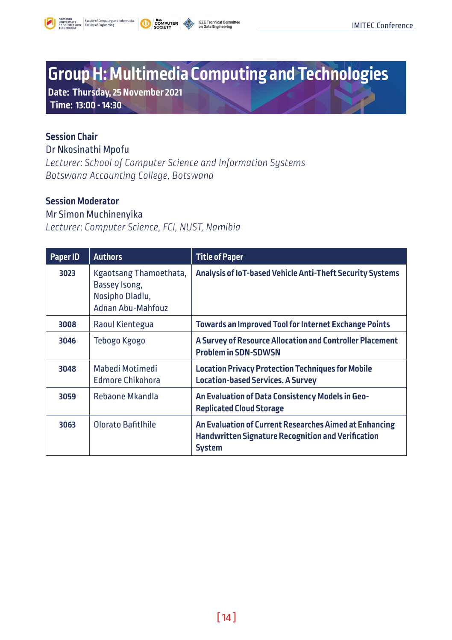<span id="page-13-0"></span>





## **Group H: Multimedia Computing and Technologies**

**Date: Thursday, 25 November 2021 Time: 13:00 - 14:30**

#### **Session Chair**

Dr Nkosinathi Mpofu *Lecturer*: *School of Computer Science and Information Systems Botswana Accounting College, Botswana* 

#### **Session Moderator**

#### Mr Simon Muchinenyika

*Lecturer*: *Computer Science, FCI, NUST, Namibia* 

| Paper ID | <b>Authors</b>                                                                  | <b>Title of Paper</b>                                                                                                                |
|----------|---------------------------------------------------------------------------------|--------------------------------------------------------------------------------------------------------------------------------------|
| 3023     | Kgaotsang Thamoethata,<br>Bassey Isong,<br>Nosipho Dladlu,<br>Adnan Ahu-Mahfouz | Analysis of IoT-based Vehicle Anti-Theft Security Systems                                                                            |
| 3008     | Raoul Kientegua                                                                 | <b>Towards an Improved Tool for Internet Exchange Points</b>                                                                         |
| 3046     | Tebogo Kgogo                                                                    | A Survey of Resource Allocation and Controller Placement<br><b>Problem in SDN-SDWSN</b>                                              |
| 3048     | Mabedi Motimedi<br><b>Edmore Chikohora</b>                                      | <b>Location Privacy Protection Techniques for Mobile</b><br><b>Location-based Services. A Survey</b>                                 |
| 3059     | Rebaone Mkandla                                                                 | An Evaluation of Data Consistency Models in Geo-<br><b>Replicated Cloud Storage</b>                                                  |
| 3063     | Olorato Bafitlhile                                                              | An Evaluation of Current Researches Aimed at Enhancing<br><b>Handwritten Signature Recognition and Verification</b><br><b>System</b> |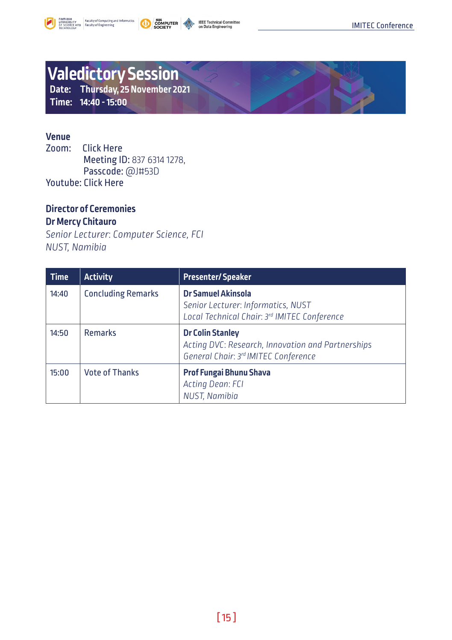<span id="page-14-0"></span>





### **Valedictory Session Date: Thursday, 25 November 2021**

**Time: 14:40 - 15:00**

### **Venue**

**[Click Here](https://us02web.zoom.us/j/83763141278?pwd=Ynh4Y3MyR01tZW1rYTBaNlhpeml5UT09)** Meeting ID: 837 6314 1278, Passcode: @J#53D Youtube: [Click Here](https://www.youtube.com/channel/UCw8L0Axttdo8AhezcONlRfw)

#### **Director of Ceremonies Dr Mercy Chitauro**

*Senior Lecturer*: *Computer Science, FCI NUST, Namibia* 

| <b>Time</b> | <b>Activity</b>           | <b>Presenter/Speaker</b>                                                                                             |
|-------------|---------------------------|----------------------------------------------------------------------------------------------------------------------|
| 14:40       | <b>Concluding Remarks</b> | <b>Dr Samuel Akinsola</b><br>Senior Lecturer: Informatics, NUST<br>Local Technical Chair: 3rd IMITEC Conference      |
| 14:50       | <b>Remarks</b>            | <b>Dr Colin Stanley</b><br>Acting DVC: Research, Innovation and Partnerships<br>General Chair: 3rd IMITEC Conference |
| 15:00       | <b>Vote of Thanks</b>     | Prof Fungai Bhunu Shava<br>Acting Dean: FCI<br>NUST, Namibia                                                         |